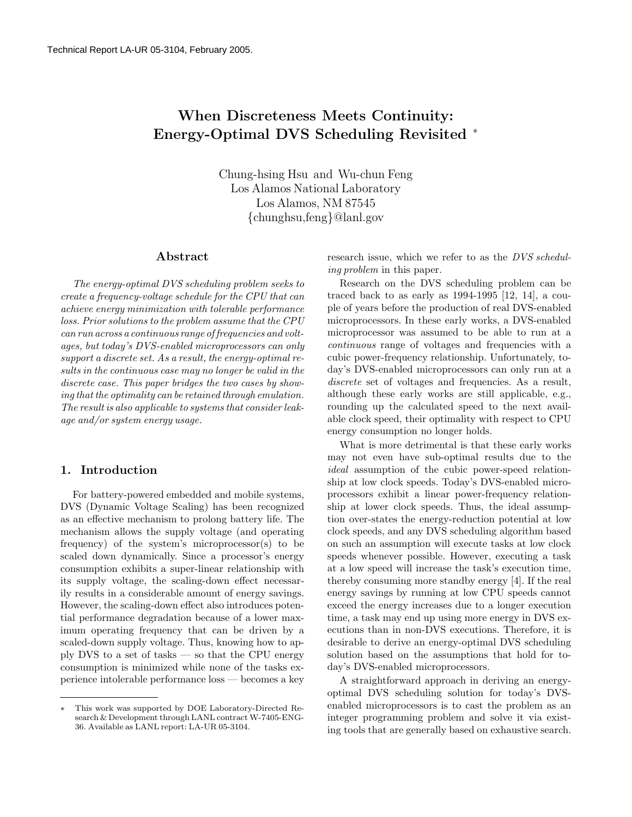# When Discreteness Meets Continuity: Energy-Optimal DVS Scheduling Revisited <sup>∗</sup>

Chung-hsing Hsu and Wu-chun Feng Los Alamos National Laboratory Los Alamos, NM 87545 {chunghsu,feng}@lanl.gov

### Abstract

The energy-optimal DVS scheduling problem seeks to create a frequency-voltage schedule for the CPU that can achieve energy minimization with tolerable performance loss. Prior solutions to the problem assume that the CPU can run across a continuous range of frequencies and voltages, but today's DVS-enabled microprocessors can only support a discrete set. As a result, the energy-optimal results in the continuous case may no longer be valid in the discrete case. This paper bridges the two cases by showing that the optimality can be retained through emulation. The result is also applicable to systems that consider leakage and/or system energy usage.

## 1. Introduction

For battery-powered embedded and mobile systems, DVS (Dynamic Voltage Scaling) has been recognized as an effective mechanism to prolong battery life. The mechanism allows the supply voltage (and operating frequency) of the system's microprocessor(s) to be scaled down dynamically. Since a processor's energy consumption exhibits a super-linear relationship with its supply voltage, the scaling-down effect necessarily results in a considerable amount of energy savings. However, the scaling-down effect also introduces potential performance degradation because of a lower maximum operating frequency that can be driven by a scaled-down supply voltage. Thus, knowing how to apply DVS to a set of tasks — so that the CPU energy consumption is minimized while none of the tasks experience intolerable performance loss — becomes a key

research issue, which we refer to as the DVS scheduling problem in this paper.

Research on the DVS scheduling problem can be traced back to as early as 1994-1995 [12, 14], a couple of years before the production of real DVS-enabled microprocessors. In these early works, a DVS-enabled microprocessor was assumed to be able to run at a continuous range of voltages and frequencies with a cubic power-frequency relationship. Unfortunately, today's DVS-enabled microprocessors can only run at a discrete set of voltages and frequencies. As a result, although these early works are still applicable, e.g., rounding up the calculated speed to the next available clock speed, their optimality with respect to CPU energy consumption no longer holds.

What is more detrimental is that these early works may not even have sub-optimal results due to the ideal assumption of the cubic power-speed relationship at low clock speeds. Today's DVS-enabled microprocessors exhibit a linear power-frequency relationship at lower clock speeds. Thus, the ideal assumption over-states the energy-reduction potential at low clock speeds, and any DVS scheduling algorithm based on such an assumption will execute tasks at low clock speeds whenever possible. However, executing a task at a low speed will increase the task's execution time, thereby consuming more standby energy [4]. If the real energy savings by running at low CPU speeds cannot exceed the energy increases due to a longer execution time, a task may end up using more energy in DVS executions than in non-DVS executions. Therefore, it is desirable to derive an energy-optimal DVS scheduling solution based on the assumptions that hold for today's DVS-enabled microprocessors.

A straightforward approach in deriving an energyoptimal DVS scheduling solution for today's DVSenabled microprocessors is to cast the problem as an integer programming problem and solve it via existing tools that are generally based on exhaustive search.

This work was supported by DOE Laboratory-Directed Research & Development through LANL contract W-7405-ENG-36. Available as LANL report: LA-UR 05-3104.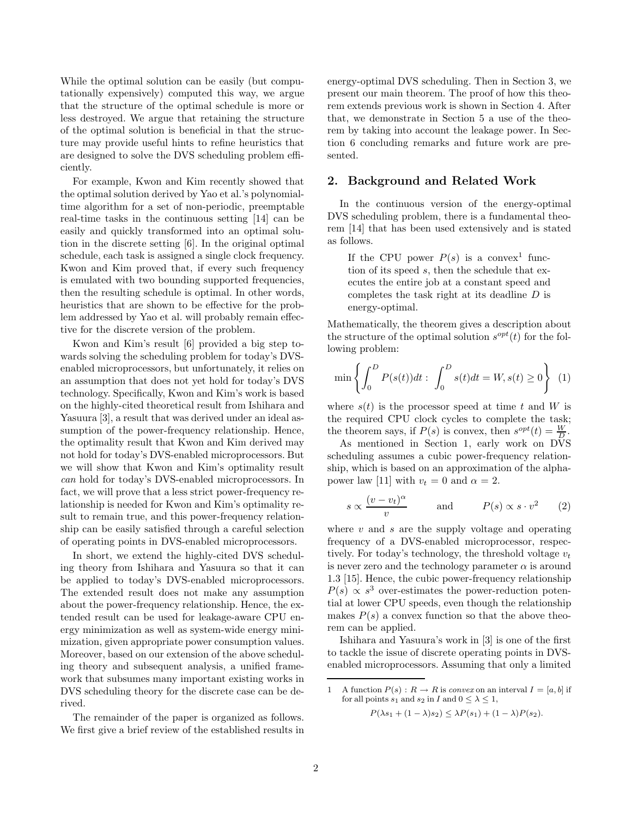While the optimal solution can be easily (but computationally expensively) computed this way, we argue that the structure of the optimal schedule is more or less destroyed. We argue that retaining the structure of the optimal solution is beneficial in that the structure may provide useful hints to refine heuristics that are designed to solve the DVS scheduling problem efficiently.

For example, Kwon and Kim recently showed that the optimal solution derived by Yao et al.'s polynomialtime algorithm for a set of non-periodic, preemptable real-time tasks in the continuous setting [14] can be easily and quickly transformed into an optimal solution in the discrete setting [6]. In the original optimal schedule, each task is assigned a single clock frequency. Kwon and Kim proved that, if every such frequency is emulated with two bounding supported frequencies, then the resulting schedule is optimal. In other words, heuristics that are shown to be effective for the problem addressed by Yao et al. will probably remain effective for the discrete version of the problem.

Kwon and Kim's result [6] provided a big step towards solving the scheduling problem for today's DVSenabled microprocessors, but unfortunately, it relies on an assumption that does not yet hold for today's DVS technology. Specifically, Kwon and Kim's work is based on the highly-cited theoretical result from Ishihara and Yasuura [3], a result that was derived under an ideal assumption of the power-frequency relationship. Hence, the optimality result that Kwon and Kim derived may not hold for today's DVS-enabled microprocessors. But we will show that Kwon and Kim's optimality result can hold for today's DVS-enabled microprocessors. In fact, we will prove that a less strict power-frequency relationship is needed for Kwon and Kim's optimality result to remain true, and this power-frequency relationship can be easily satisfied through a careful selection of operating points in DVS-enabled microprocessors.

In short, we extend the highly-cited DVS scheduling theory from Ishihara and Yasuura so that it can be applied to today's DVS-enabled microprocessors. The extended result does not make any assumption about the power-frequency relationship. Hence, the extended result can be used for leakage-aware CPU energy minimization as well as system-wide energy minimization, given appropriate power consumption values. Moreover, based on our extension of the above scheduling theory and subsequent analysis, a unified framework that subsumes many important existing works in DVS scheduling theory for the discrete case can be derived.

The remainder of the paper is organized as follows. We first give a brief review of the established results in energy-optimal DVS scheduling. Then in Section 3, we present our main theorem. The proof of how this theorem extends previous work is shown in Section 4. After that, we demonstrate in Section 5 a use of the theorem by taking into account the leakage power. In Section 6 concluding remarks and future work are presented.

# 2. Background and Related Work

In the continuous version of the energy-optimal DVS scheduling problem, there is a fundamental theorem [14] that has been used extensively and is stated as follows.

If the CPU power  $P(s)$  is a convex<sup>1</sup> function of its speed s, then the schedule that executes the entire job at a constant speed and completes the task right at its deadline D is energy-optimal.

Mathematically, the theorem gives a description about the structure of the optimal solution  $s^{opt}(t)$  for the following problem:

$$
\min \left\{ \int_0^D P(s(t))dt \; : \; \int_0^D s(t)dt = W, s(t) \ge 0 \right\} \; \; (1)
$$

where  $s(t)$  is the processor speed at time t and W is the required CPU clock cycles to complete the task; the theorem says, if  $P(s)$  is convex, then  $s^{opt}(t) = \frac{W}{D}$ .

As mentioned in Section 1, early work on DVS scheduling assumes a cubic power-frequency relationship, which is based on an approximation of the alphapower law [11] with  $v_t = 0$  and  $\alpha = 2$ .

$$
s \propto \frac{(v - v_t)^{\alpha}}{v} \quad \text{and} \quad P(s) \propto s \cdot v^2 \quad (2)
$$

where  $v$  and  $s$  are the supply voltage and operating frequency of a DVS-enabled microprocessor, respectively. For today's technology, the threshold voltage  $v_t$ is never zero and the technology parameter  $\alpha$  is around 1.3 [15]. Hence, the cubic power-frequency relationship  $P(s) \propto s^3$  over-estimates the power-reduction potential at lower CPU speeds, even though the relationship makes  $P(s)$  a convex function so that the above theorem can be applied.

Ishihara and Yasuura's work in [3] is one of the first to tackle the issue of discrete operating points in DVSenabled microprocessors. Assuming that only a limited

 $P(\lambda s_1 + (1 - \lambda)s_2) \leq \lambda P(s_1) + (1 - \lambda)P(s_2).$ 

<sup>1</sup> A function  $P(s)$ :  $R \to R$  is convex on an interval  $I = [a, b]$  if for all points  $s_1$  and  $s_2$  in I and  $0 \leq \lambda \leq 1$ ,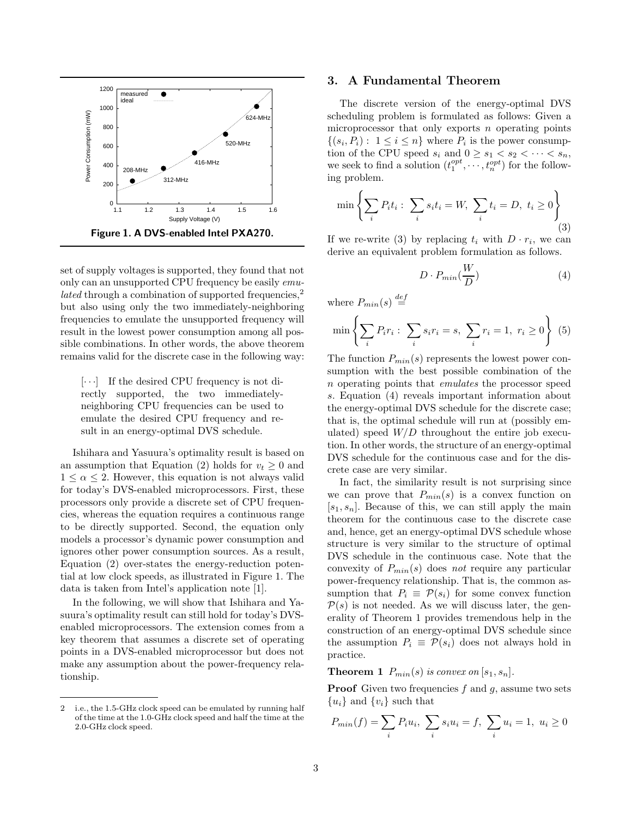

set of supply voltages is supported, they found that not only can an unsupported CPU frequency be easily emu*lated* through a combination of supported frequencies,<sup>2</sup> but also using only the two immediately-neighboring frequencies to emulate the unsupported frequency will result in the lowest power consumption among all possible combinations. In other words, the above theorem remains valid for the discrete case in the following way:

 $[\cdot \cdot \cdot]$  If the desired CPU frequency is not directly supported, the two immediatelyneighboring CPU frequencies can be used to emulate the desired CPU frequency and result in an energy-optimal DVS schedule.

Ishihara and Yasuura's optimality result is based on an assumption that Equation (2) holds for  $v_t \geq 0$  and  $1 \leq \alpha \leq 2$ . However, this equation is not always valid for today's DVS-enabled microprocessors. First, these processors only provide a discrete set of CPU frequencies, whereas the equation requires a continuous range to be directly supported. Second, the equation only models a processor's dynamic power consumption and ignores other power consumption sources. As a result, Equation (2) over-states the energy-reduction potential at low clock speeds, as illustrated in Figure 1. The data is taken from Intel's application note [1].

In the following, we will show that Ishihara and Yasuura's optimality result can still hold for today's DVSenabled microprocessors. The extension comes from a key theorem that assumes a discrete set of operating points in a DVS-enabled microprocessor but does not make any assumption about the power-frequency relationship.

# 3. A Fundamental Theorem

The discrete version of the energy-optimal DVS scheduling problem is formulated as follows: Given a microprocessor that only exports  $n$  operating points  $\{(s_i, P_i): 1 \leq i \leq n\}$  where  $P_i$  is the power consumption of the CPU speed  $s_i$  and  $0 \geq s_1 < s_2 < \cdots < s_n$ , we seek to find a solution  $(t_1^{opt}, \dots, t_n^{opt})$  for the following problem.

$$
\min \left\{ \sum_{i} P_i t_i : \sum_{i} s_i t_i = W, \sum_{i} t_i = D, t_i \ge 0 \right\}
$$
\n(3)

If we re-write (3) by replacing  $t_i$  with  $D \cdot r_i$ , we can derive an equivalent problem formulation as follows.

$$
D \cdot P_{min}\left(\frac{W}{D}\right) \tag{4}
$$

where  $P_{min}(s) \stackrel{def}{=}$ 

$$
\min \left\{ \sum_{i} P_{i} r_{i} : \sum_{i} s_{i} r_{i} = s, \sum_{i} r_{i} = 1, r_{i} \ge 0 \right\} (5)
$$

The function  $P_{min}(s)$  represents the lowest power consumption with the best possible combination of the n operating points that emulates the processor speed s. Equation (4) reveals important information about the energy-optimal DVS schedule for the discrete case; that is, the optimal schedule will run at (possibly emulated) speed  $W/D$  throughout the entire job execution. In other words, the structure of an energy-optimal DVS schedule for the continuous case and for the discrete case are very similar.

In fact, the similarity result is not surprising since we can prove that  $P_{min}(s)$  is a convex function on  $[s_1, s_n]$ . Because of this, we can still apply the main theorem for the continuous case to the discrete case and, hence, get an energy-optimal DVS schedule whose structure is very similar to the structure of optimal DVS schedule in the continuous case. Note that the convexity of  $P_{min}(s)$  does not require any particular power-frequency relationship. That is, the common assumption that  $P_i \equiv \mathcal{P}(s_i)$  for some convex function  $P(s)$  is not needed. As we will discuss later, the generality of Theorem 1 provides tremendous help in the construction of an energy-optimal DVS schedule since the assumption  $P_i \equiv \mathcal{P}(s_i)$  does not always hold in practice.

**Theorem 1**  $P_{min}(s)$  is convex on  $[s_1, s_n]$ .

**Proof** Given two frequencies  $f$  and  $g$ , assume two sets  ${u_i}$  and  ${v_i}$  such that

$$
P_{min}(f) = \sum_{i} P_i u_i, \ \sum_{i} s_i u_i = f, \ \sum_{i} u_i = 1, \ u_i \ge 0
$$

<sup>2</sup> i.e., the 1.5-GHz clock speed can be emulated by running half of the time at the 1.0-GHz clock speed and half the time at the 2.0-GHz clock speed.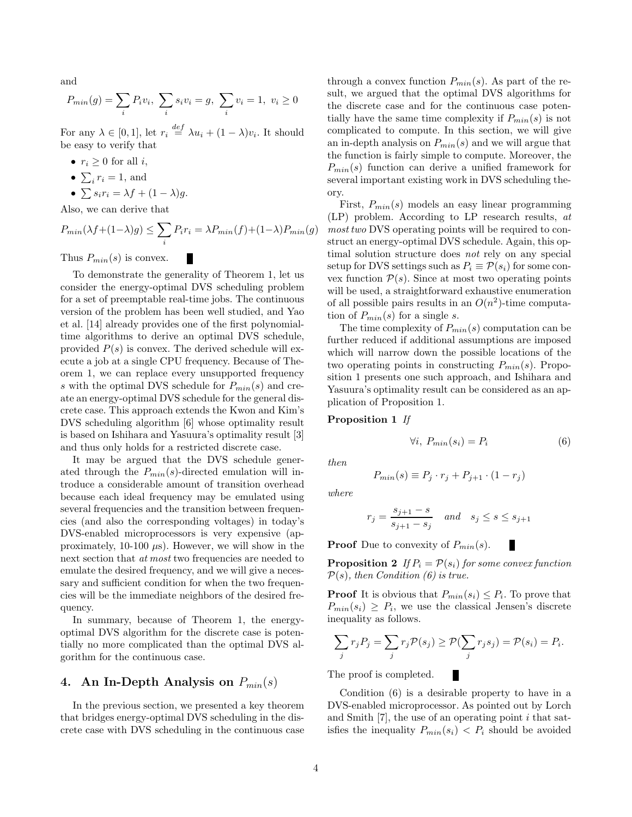and

$$
P_{min}(g) = \sum_{i} P_i v_i, \ \sum_{i} s_i v_i = g, \ \sum_{i} v_i = 1, \ v_i \ge 0
$$

For any  $\lambda \in [0,1]$ , let  $r_i \stackrel{def}{=} \lambda u_i + (1-\lambda)v_i$ . It should be easy to verify that

- $r_i \geq 0$  for all *i*,
- $\sum_i r_i = 1$ , and
- $\sum s_i r_i = \lambda f + (1 \lambda)g$ .

Also, we can derive that

$$
P_{min}(\lambda f + (1 - \lambda)g) \le \sum_{i} P_i r_i = \lambda P_{min}(f) + (1 - \lambda)P_{min}(g)
$$

П

Thus  $P_{min}(s)$  is convex.

To demonstrate the generality of Theorem 1, let us consider the energy-optimal DVS scheduling problem for a set of preemptable real-time jobs. The continuous version of the problem has been well studied, and Yao et al. [14] already provides one of the first polynomialtime algorithms to derive an optimal DVS schedule, provided  $P(s)$  is convex. The derived schedule will execute a job at a single CPU frequency. Because of Theorem 1, we can replace every unsupported frequency s with the optimal DVS schedule for  $P_{min}(s)$  and create an energy-optimal DVS schedule for the general discrete case. This approach extends the Kwon and Kim's DVS scheduling algorithm [6] whose optimality result is based on Ishihara and Yasuura's optimality result [3] and thus only holds for a restricted discrete case.

It may be argued that the DVS schedule generated through the  $P_{min}(s)$ -directed emulation will introduce a considerable amount of transition overhead because each ideal frequency may be emulated using several frequencies and the transition between frequencies (and also the corresponding voltages) in today's DVS-enabled microprocessors is very expensive (approximately, 10-100  $\mu$ s). However, we will show in the next section that *at most* two frequencies are needed to emulate the desired frequency, and we will give a necessary and sufficient condition for when the two frequencies will be the immediate neighbors of the desired frequency.

In summary, because of Theorem 1, the energyoptimal DVS algorithm for the discrete case is potentially no more complicated than the optimal DVS algorithm for the continuous case.

# 4. An In-Depth Analysis on  $P_{min}(s)$

In the previous section, we presented a key theorem that bridges energy-optimal DVS scheduling in the discrete case with DVS scheduling in the continuous case

through a convex function  $P_{min}(s)$ . As part of the result, we argued that the optimal DVS algorithms for the discrete case and for the continuous case potentially have the same time complexity if  $P_{min}(s)$  is not complicated to compute. In this section, we will give an in-depth analysis on  $P_{min}(s)$  and we will argue that the function is fairly simple to compute. Moreover, the  $P_{min}(s)$  function can derive a unified framework for several important existing work in DVS scheduling theory.

First,  $P_{min}(s)$  models an easy linear programming (LP) problem. According to LP research results, at most two DVS operating points will be required to construct an energy-optimal DVS schedule. Again, this optimal solution structure does not rely on any special setup for DVS settings such as  $P_i \equiv \mathcal{P}(s_i)$  for some convex function  $P(s)$ . Since at most two operating points will be used, a straightforward exhaustive enumeration of all possible pairs results in an  $O(n^2)$ -time computation of  $P_{min}(s)$  for a single s.

The time complexity of  $P_{min}(s)$  computation can be further reduced if additional assumptions are imposed which will narrow down the possible locations of the two operating points in constructing  $P_{min}(s)$ . Proposition 1 presents one such approach, and Ishihara and Yasuura's optimality result can be considered as an application of Proposition 1.

#### Proposition 1 If

then

$$
P_{min}(s) \equiv P_j \cdot r_j + P_{j+1} \cdot (1 - r_j)
$$

 $\forall i, P_{min}(s_i) = P_i$  (6)

п

where

$$
r_j = \frac{s_{j+1} - s}{s_{j+1} - s_j} \quad and \quad s_j \le s \le s_{j+1}
$$

**Proof** Due to convexity of  $P_{min}(s)$ .

**Proposition 2** If  $P_i = \mathcal{P}(s_i)$  for some convex function  $P(s)$ , then Condition (6) is true.

**Proof** It is obvious that  $P_{min}(s_i) \leq P_i$ . To prove that  $P_{min}(s_i) \geq P_i$ , we use the classical Jensen's discrete inequality as follows.

$$
\sum_j r_j P_j = \sum_j r_j \mathcal{P}(s_j) \ge \mathcal{P}(\sum_j r_j s_j) = \mathcal{P}(s_i) = P_i.
$$

The proof is completed.

Condition (6) is a desirable property to have in a DVS-enabled microprocessor. As pointed out by Lorch and Smith  $[7]$ , the use of an operating point i that satisfies the inequality  $P_{min}(s_i) < P_i$  should be avoided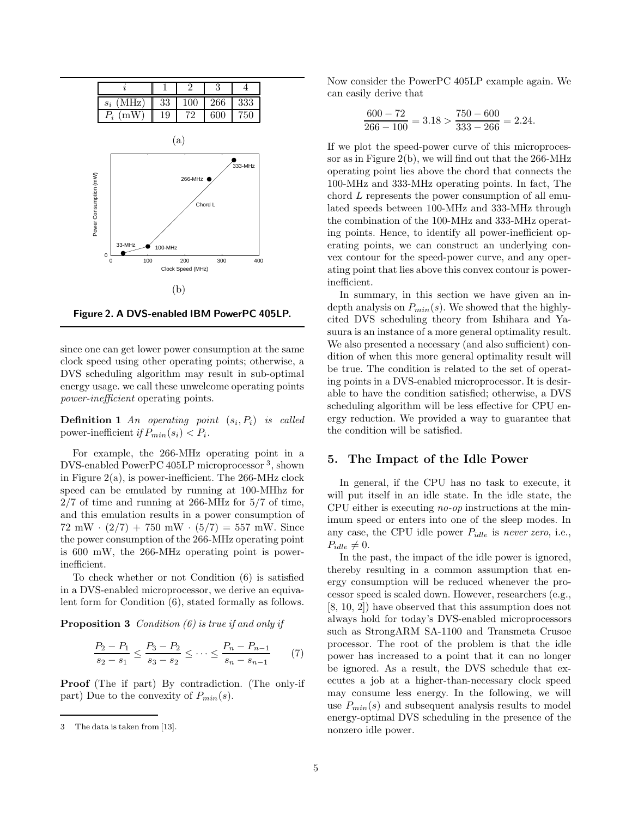

Figure 2. A DVS-enabled IBM PowerPC 405LP.

since one can get lower power consumption at the same clock speed using other operating points; otherwise, a DVS scheduling algorithm may result in sub-optimal energy usage. we call these unwelcome operating points power-inefficient operating points.

**Definition 1** An operating point  $(s_i, P_i)$  is called power-inefficient if  $P_{min}(s_i) < P_i$ .

For example, the 266-MHz operating point in a DVS-enabled PowerPC 405LP microprocessor <sup>3</sup> , shown in Figure 2(a), is power-inefficient. The 266-MHz clock speed can be emulated by running at 100-MHhz for 2/7 of time and running at 266-MHz for 5/7 of time, and this emulation results in a power consumption of  $72 \text{ mW} \cdot (2/7) + 750 \text{ mW} \cdot (5/7) = 557 \text{ mW}$ . Since the power consumption of the 266-MHz operating point is 600 mW, the 266-MHz operating point is powerinefficient.

To check whether or not Condition (6) is satisfied in a DVS-enabled microprocessor, we derive an equivalent form for Condition (6), stated formally as follows.

**Proposition 3** Condition  $(6)$  is true if and only if

$$
\frac{P_2 - P_1}{s_2 - s_1} \le \frac{P_3 - P_2}{s_3 - s_2} \le \dots \le \frac{P_n - P_{n-1}}{s_n - s_{n-1}} \tag{7}
$$

Proof (The if part) By contradiction. (The only-if part) Due to the convexity of  $P_{min}(s)$ .

Now consider the PowerPC 405LP example again. We can easily derive that

$$
\frac{600 - 72}{266 - 100} = 3.18 > \frac{750 - 600}{333 - 266} = 2.24.
$$

If we plot the speed-power curve of this microprocessor as in Figure 2(b), we will find out that the  $266\text{-}MHz$ operating point lies above the chord that connects the 100-MHz and 333-MHz operating points. In fact, The chord L represents the power consumption of all emulated speeds between 100-MHz and 333-MHz through the combination of the 100-MHz and 333-MHz operating points. Hence, to identify all power-inefficient operating points, we can construct an underlying convex contour for the speed-power curve, and any operating point that lies above this convex contour is powerinefficient.

In summary, in this section we have given an indepth analysis on  $P_{min}(s)$ . We showed that the highlycited DVS scheduling theory from Ishihara and Yasuura is an instance of a more general optimality result. We also presented a necessary (and also sufficient) condition of when this more general optimality result will be true. The condition is related to the set of operating points in a DVS-enabled microprocessor. It is desirable to have the condition satisfied; otherwise, a DVS scheduling algorithm will be less effective for CPU energy reduction. We provided a way to guarantee that the condition will be satisfied.

## 5. The Impact of the Idle Power

In general, if the CPU has no task to execute, it will put itself in an idle state. In the idle state, the CPU either is executing no-op instructions at the minimum speed or enters into one of the sleep modes. In any case, the CPU idle power  $P_{idle}$  is never zero, i.e.,  $P_{idle} \neq 0.$ 

In the past, the impact of the idle power is ignored, thereby resulting in a common assumption that energy consumption will be reduced whenever the processor speed is scaled down. However, researchers (e.g., [8, 10, 2]) have observed that this assumption does not always hold for today's DVS-enabled microprocessors such as StrongARM SA-1100 and Transmeta Crusoe processor. The root of the problem is that the idle power has increased to a point that it can no longer be ignored. As a result, the DVS schedule that executes a job at a higher-than-necessary clock speed may consume less energy. In the following, we will use  $P_{min}(s)$  and subsequent analysis results to model energy-optimal DVS scheduling in the presence of the nonzero idle power.

<sup>3</sup> The data is taken from [13].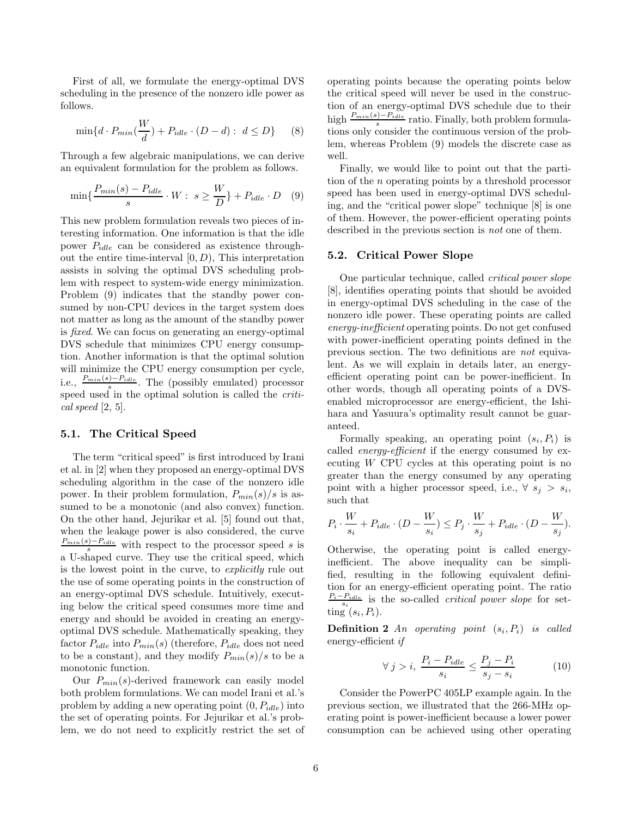First of all, we formulate the energy-optimal DVS scheduling in the presence of the nonzero idle power as follows.

$$
\min\{d \cdot P_{min}(\frac{W}{d}) + P_{idle} \cdot (D - d) : d \le D\} \qquad (8)
$$

Through a few algebraic manipulations, we can derive an equivalent formulation for the problem as follows.

$$
\min\{\frac{P_{min}(s) - P_{idle}}{s} \cdot W : s \ge \frac{W}{D}\} + P_{idle} \cdot D \quad (9)
$$

This new problem formulation reveals two pieces of interesting information. One information is that the idle power  $P_{idle}$  can be considered as existence throughout the entire time-interval  $[0, D)$ , This interpretation assists in solving the optimal DVS scheduling problem with respect to system-wide energy minimization. Problem (9) indicates that the standby power consumed by non-CPU devices in the target system does not matter as long as the amount of the standby power is fixed. We can focus on generating an energy-optimal DVS schedule that minimizes CPU energy consumption. Another information is that the optimal solution will minimize the CPU energy consumption per cycle, i.e.,  $\frac{P_{min}(s)-P_{idle}}{s}$ . The (possibly emulated) processor speed used in the optimal solution is called the critical speed [2, 5].

#### 5.1. The Critical Speed

The term "critical speed" is first introduced by Irani et al. in [2] when they proposed an energy-optimal DVS scheduling algorithm in the case of the nonzero idle power. In their problem formulation,  $P_{min}(s)/s$  is assumed to be a monotonic (and also convex) function. On the other hand, Jejurikar et al. [5] found out that, when the leakage power is also considered, the curve  $\frac{P_{min}(s)-P_{idle}}{s}$  with respect to the processor speed s is a U-shaped curve. They use the critical speed, which is the lowest point in the curve, to explicitly rule out the use of some operating points in the construction of an energy-optimal DVS schedule. Intuitively, executing below the critical speed consumes more time and energy and should be avoided in creating an energyoptimal DVS schedule. Mathematically speaking, they factor  $P_{idle}$  into  $P_{min}(s)$  (therefore,  $P_{idle}$  does not need to be a constant), and they modify  $P_{min}(s)/s$  to be a monotonic function.

Our  $P_{min}(s)$ -derived framework can easily model both problem formulations. We can model Irani et al.'s problem by adding a new operating point  $(0, P_{idle})$  into the set of operating points. For Jejurikar et al.'s problem, we do not need to explicitly restrict the set of operating points because the operating points below the critical speed will never be used in the construction of an energy-optimal DVS schedule due to their high  $\frac{P_{min}(s)-P_{idle}}{s}$  ratio. Finally, both problem formulations only consider the continuous version of the problem, whereas Problem (9) models the discrete case as well.

Finally, we would like to point out that the partition of the n operating points by a threshold processor speed has been used in energy-optimal DVS scheduling, and the "critical power slope" technique [8] is one of them. However, the power-efficient operating points described in the previous section is not one of them.

#### 5.2. Critical Power Slope

One particular technique, called critical power slope [8], identifies operating points that should be avoided in energy-optimal DVS scheduling in the case of the nonzero idle power. These operating points are called energy-inefficient operating points. Do not get confused with power-inefficient operating points defined in the previous section. The two definitions are not equivalent. As we will explain in details later, an energyefficient operating point can be power-inefficient. In other words, though all operating points of a DVSenabled microprocessor are energy-efficient, the Ishihara and Yasuura's optimality result cannot be guaranteed.

Formally speaking, an operating point  $(s_i, P_i)$  is called *energy-efficient* if the energy consumed by executing  $W$  CPU cycles at this operating point is no greater than the energy consumed by any operating point with a higher processor speed, i.e.,  $\forall s_j > s_i$ , such that

$$
P_i \cdot \frac{W}{s_i} + P_{idle} \cdot (D - \frac{W}{s_i}) \le P_j \cdot \frac{W}{s_j} + P_{idle} \cdot (D - \frac{W}{s_j}).
$$

Otherwise, the operating point is called energyinefficient. The above inequality can be simplified, resulting in the following equivalent definition for an energy-efficient operating point. The ratio  $\frac{P_i-P_{idle}}{s_i}$  is the so-called *critical power slope* for setting  $(s_i, P_i)$ .

**Definition 2** An operating point  $(s_i, P_i)$  is called energy-efficient if

$$
\forall j > i, \ \frac{P_i - P_{idle}}{s_i} \le \frac{P_j - P_i}{s_j - s_i} \tag{10}
$$

Consider the PowerPC 405LP example again. In the previous section, we illustrated that the 266-MHz operating point is power-inefficient because a lower power consumption can be achieved using other operating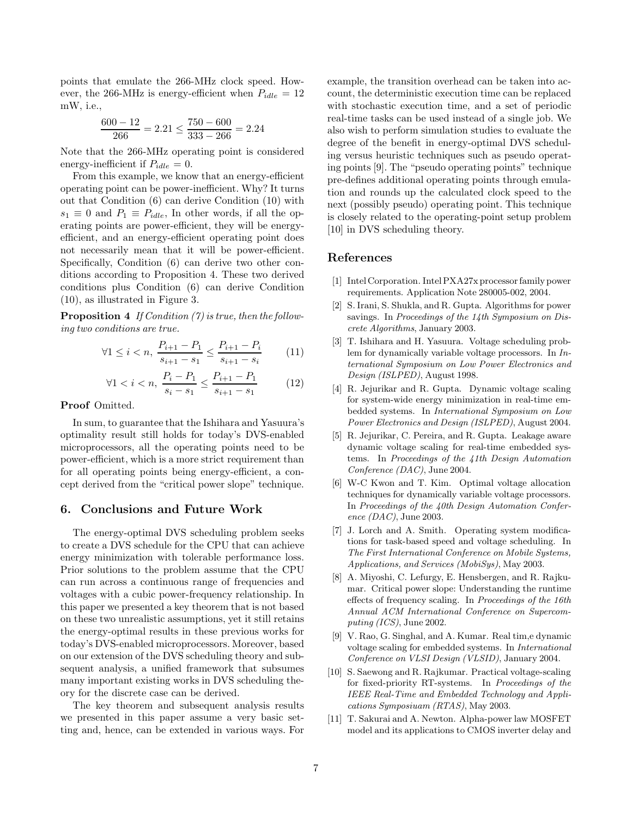points that emulate the 266-MHz clock speed. However, the 266-MHz is energy-efficient when  $P_{idle} = 12$ mW, i.e.,

$$
\frac{600 - 12}{266} = 2.21 \le \frac{750 - 600}{333 - 266} = 2.24
$$

Note that the 266-MHz operating point is considered energy-inefficient if  $P_{idle} = 0$ .

From this example, we know that an energy-efficient operating point can be power-inefficient. Why? It turns out that Condition (6) can derive Condition (10) with  $s_1 \equiv 0$  and  $P_1 \equiv P_{idle}$ , In other words, if all the operating points are power-efficient, they will be energyefficient, and an energy-efficient operating point does not necessarily mean that it will be power-efficient. Specifically, Condition (6) can derive two other conditions according to Proposition 4. These two derived conditions plus Condition (6) can derive Condition (10), as illustrated in Figure 3.

**Proposition 4** If Condition (7) is true, then the following two conditions are true.

$$
\forall 1 \le i < n, \ \frac{P_{i+1} - P_1}{s_{i+1} - s_1} \le \frac{P_{i+1} - P_i}{s_{i+1} - s_i} \tag{11}
$$

$$
\forall 1 < i < n, \ \frac{P_i - P_1}{s_i - s_1} \le \frac{P_{i+1} - P_1}{s_{i+1} - s_1} \tag{12}
$$

#### Proof Omitted.

In sum, to guarantee that the Ishihara and Yasuura's optimality result still holds for today's DVS-enabled microprocessors, all the operating points need to be power-efficient, which is a more strict requirement than for all operating points being energy-efficient, a concept derived from the "critical power slope" technique.

## 6. Conclusions and Future Work

The energy-optimal DVS scheduling problem seeks to create a DVS schedule for the CPU that can achieve energy minimization with tolerable performance loss. Prior solutions to the problem assume that the CPU can run across a continuous range of frequencies and voltages with a cubic power-frequency relationship. In this paper we presented a key theorem that is not based on these two unrealistic assumptions, yet it still retains the energy-optimal results in these previous works for today's DVS-enabled microprocessors. Moreover, based on our extension of the DVS scheduling theory and subsequent analysis, a unified framework that subsumes many important existing works in DVS scheduling theory for the discrete case can be derived.

The key theorem and subsequent analysis results we presented in this paper assume a very basic setting and, hence, can be extended in various ways. For example, the transition overhead can be taken into account, the deterministic execution time can be replaced with stochastic execution time, and a set of periodic real-time tasks can be used instead of a single job. We also wish to perform simulation studies to evaluate the degree of the benefit in energy-optimal DVS scheduling versus heuristic techniques such as pseudo operating points [9]. The "pseudo operating points" technique pre-defines additional operating points through emulation and rounds up the calculated clock speed to the next (possibly pseudo) operating point. This technique is closely related to the operating-point setup problem [10] in DVS scheduling theory.

## References

- [1] Intel Corporation. Intel PXA27x processor family power requirements. Application Note 280005-002, 2004.
- [2] S. Irani, S. Shukla, and R. Gupta. Algorithms for power savings. In Proceedings of the 14th Symposium on Discrete Algorithms, January 2003.
- [3] T. Ishihara and H. Yasuura. Voltage scheduling problem for dynamically variable voltage processors. In International Symposium on Low Power Electronics and Design (ISLPED), August 1998.
- [4] R. Jejurikar and R. Gupta. Dynamic voltage scaling for system-wide energy minimization in real-time embedded systems. In International Symposium on Low Power Electronics and Design (ISLPED), August 2004.
- [5] R. Jejurikar, C. Pereira, and R. Gupta. Leakage aware dynamic voltage scaling for real-time embedded systems. In Proceedings of the 41th Design Automation Conference (DAC), June 2004.
- [6] W-C Kwon and T. Kim. Optimal voltage allocation techniques for dynamically variable voltage processors. In Proceedings of the 40th Design Automation Conference (DAC), June 2003.
- [7] J. Lorch and A. Smith. Operating system modifications for task-based speed and voltage scheduling. In The First International Conference on Mobile Systems, Applications, and Services (MobiSys), May 2003.
- [8] A. Miyoshi, C. Lefurgy, E. Hensbergen, and R. Rajkumar. Critical power slope: Understanding the runtime effects of frequency scaling. In Proceedings of the 16th Annual ACM International Conference on Supercomputing (ICS), June 2002.
- [9] V. Rao, G. Singhal, and A. Kumar. Real tim,e dynamic voltage scaling for embedded systems. In International Conference on VLSI Design (VLSID), January 2004.
- [10] S. Saewong and R. Rajkumar. Practical voltage-scaling for fixed-priority RT-systems. In Proceedings of the IEEE Real-Time and Embedded Technology and Applications Symposiuam (RTAS), May 2003.
- [11] T. Sakurai and A. Newton. Alpha-power law MOSFET model and its applications to CMOS inverter delay and